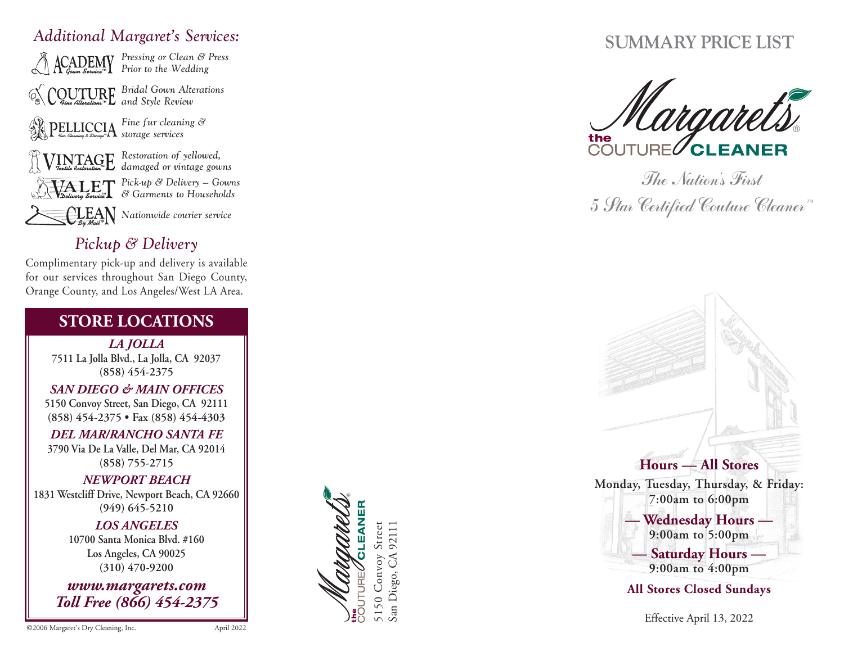## Additional Margaret's Services:



*Pick-up* & *Delivery* – Gowns  $\mathscr{C}$  Garments to Households

*Nationwide courier service* 

## *Pickup* & *Delivery*

Complimentary pick-up and delivery is available for our services throughout San Diego County, Orange County, and Los Angeles/West LA Area.

## **STORE LOCATIONS**

*LA JOLLA* 7511 La Jolla Blvd., La Jolla, CA 92037 **( 8 5 8 ) 4 5 4 - 2 3 7 5**

*SAN DIE G O & MA IN OFFICES* 5150 Convoy Street, San Diego, CA 92111 (858) 454-2375 • Fax (858) 454-4303

*DEL MA R/RANCHO SANTA FE* 3790 Via De La Valle, Del Mar, CA 92014 **( 8 5 8 ) 7 5 5 - 2 7 1 5**

*NE WP OR T BEA CH* 1831 Westcliff Drive, Newport Beach, CA 92660 **( 9 4 9 ) 6 4 5 - 5 2 1 0**

> *L O S ANGELES* **10700 Santa Monica Blvd.** #160 **L o s A n g e l e s , CA 9 0 0 2 5 ( 3 1 0 ) 4 7 0 - 9 2 0 0**

*w w w. m a rga re ts . c o m To ll Fre e (8 66) 454-23 75*

# 92111 5150 Convoy Street San Diego, CA 92111 5150 Convoy San Diego,

## **SUMMARY PRICE LIST**



The Nation 's First 5 Star Certified Couture Cleaner"



All Stores Closed Sundays

Effective April 13, 2022

©2006 Margaret's Dry Cleaning, Inc.